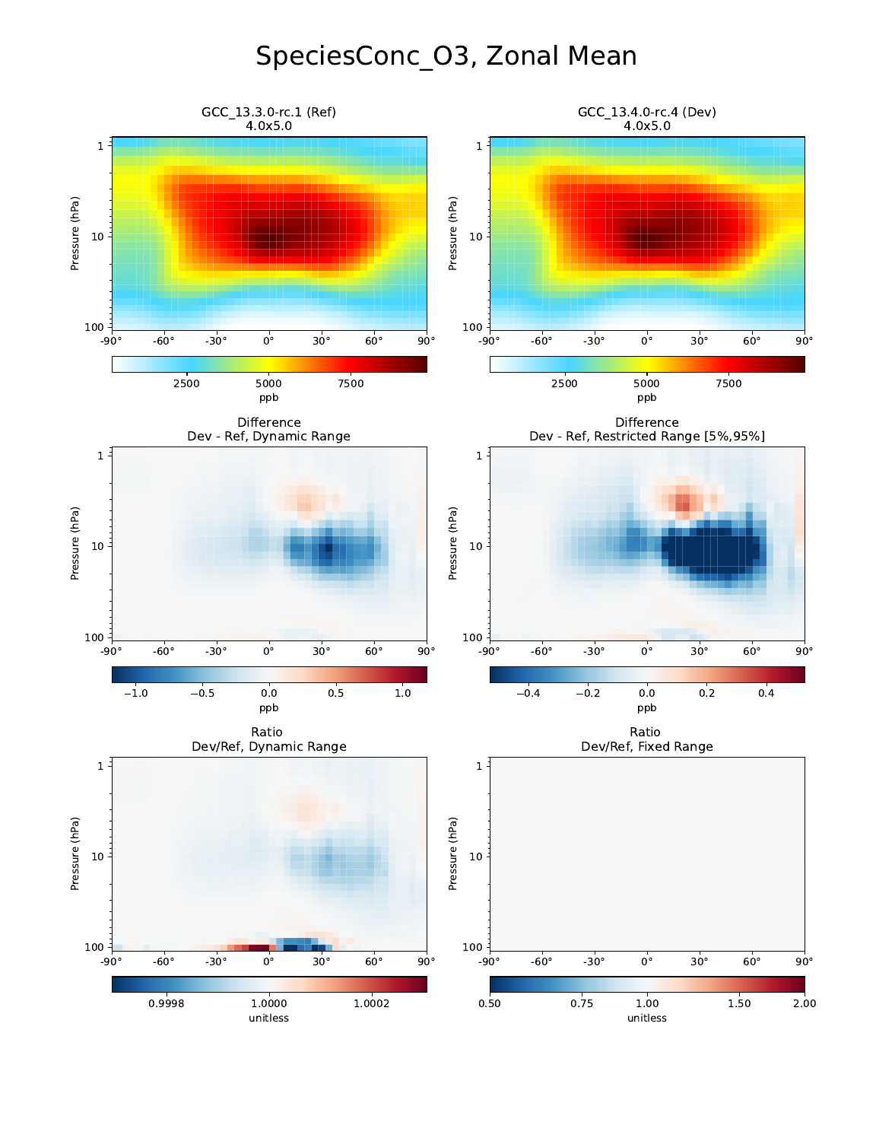## SpeciesConc\_O3, Zonal Mean

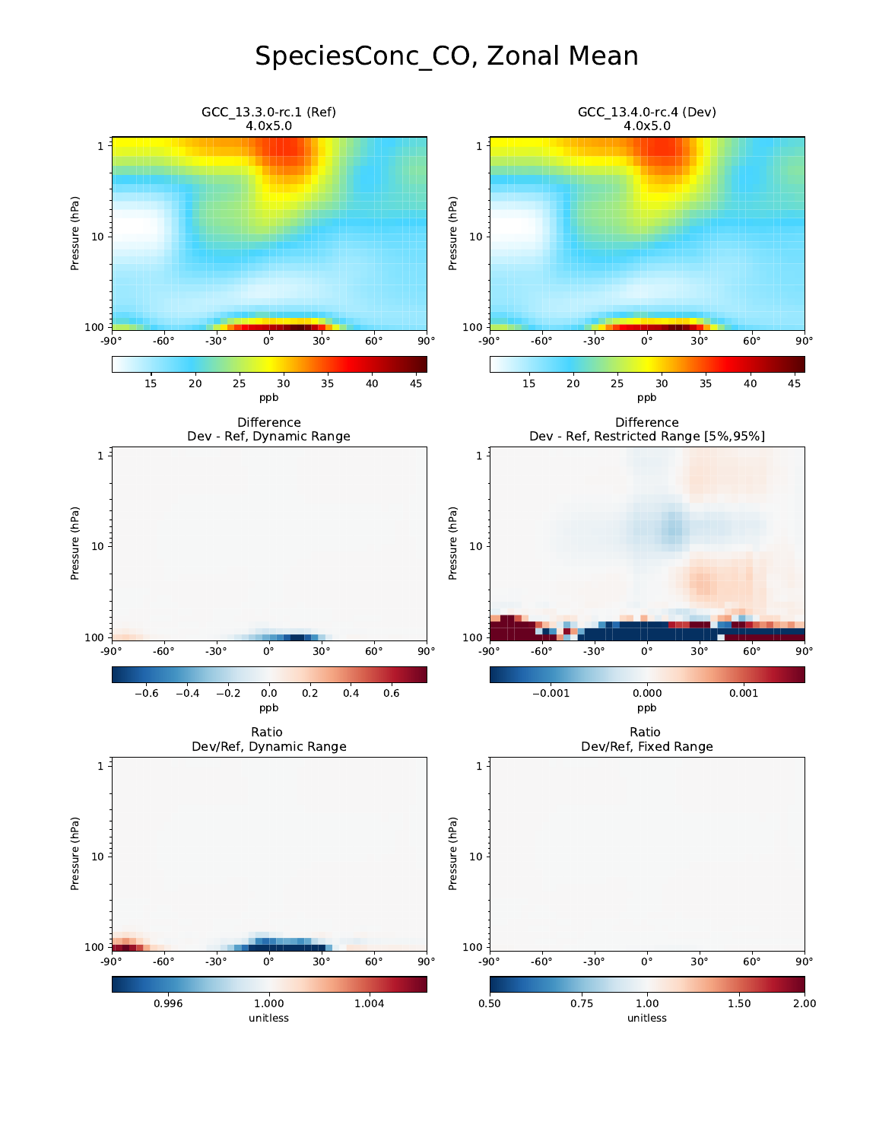## SpeciesConc\_CO, Zonal Mean

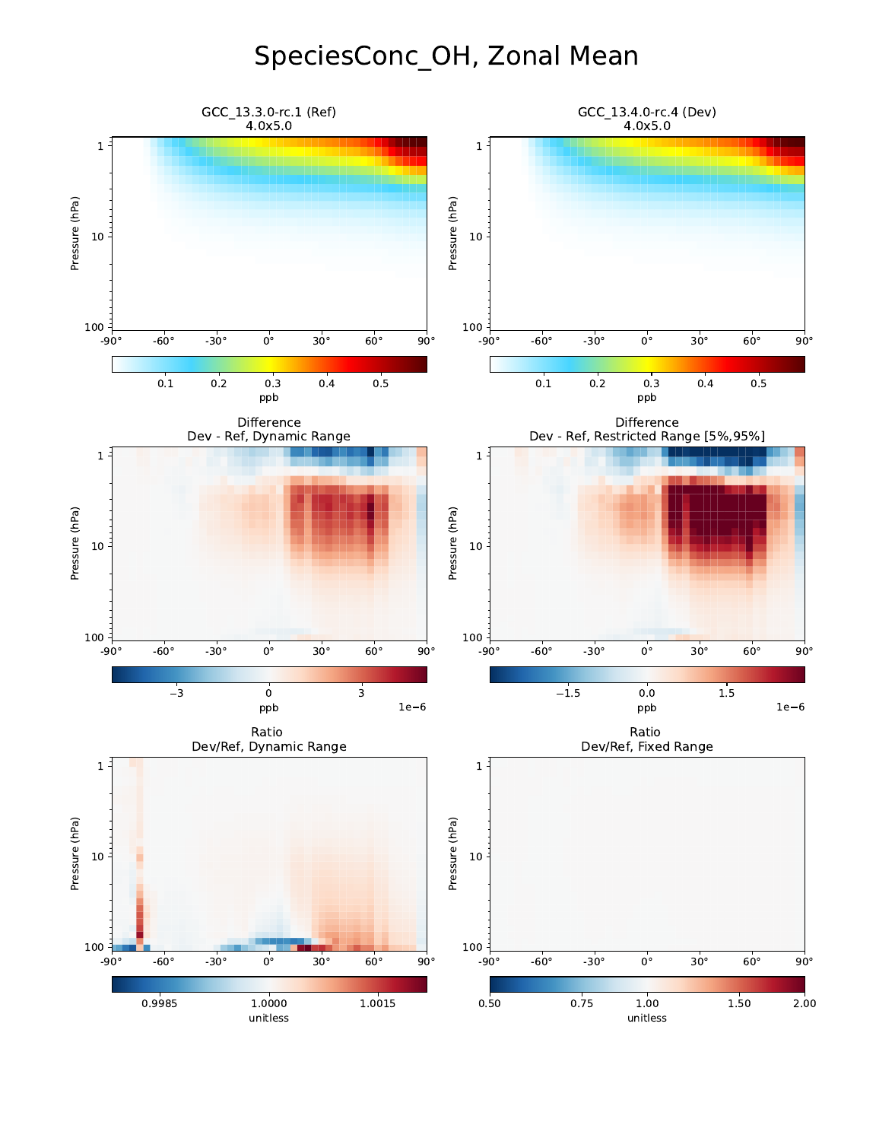## SpeciesConc\_OH, Zonal Mean